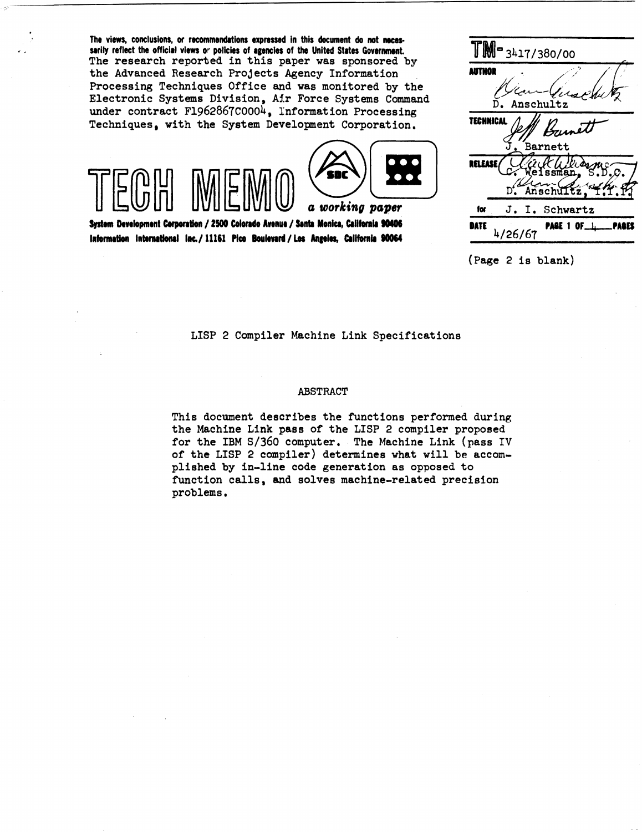The views. conclusions, or recommendations expressed in this document do not necessarily reflect the official views or policies of agencies of the United States Government. The research reported in this paper was sponsored by the Advanced Research Projects Agency Information Processing Techniques Office and was monitored by the Electronic Systems Division, Air Force Systems Command under contract F1962867C0004, Information Processing Techniques, with the System Development Corporation.



System Development Corporation / 2500 Colorado Avenue / Santa Monica, California 90406 Information international Inc./11161 Pico Boulevard/Los Angeles, California 90064

| <b>JM-3417/380/00</b> |                |                                           |
|-----------------------|----------------|-------------------------------------------|
| LUTHOR                |                |                                           |
|                       |                |                                           |
| Anschultz<br>D        |                |                                           |
| TEC                   | IC/            |                                           |
|                       | Barnett        |                                           |
|                       |                | iman                                      |
|                       | D              | Anschultz                                 |
| for                   | J. I. Schwartz |                                           |
| ATE                   | 4/26/67        | <b>PAGE 1 OF <math>\perp</math></b><br>WK |
|                       |                |                                           |

(Page 2 is blank)

LISP 2 Compiler Machine Link Specifications

### **ABSTRACT**

This document describes the functions performed during the Machine Link pass of the LISP 2 compiler proposed for the IBM S/360 computer. The Machine Link (pass IV of the LISP 2 compiler) determines what will be accomplished by in-line code generation as opposed to function calls, and solves machine-related precision problems.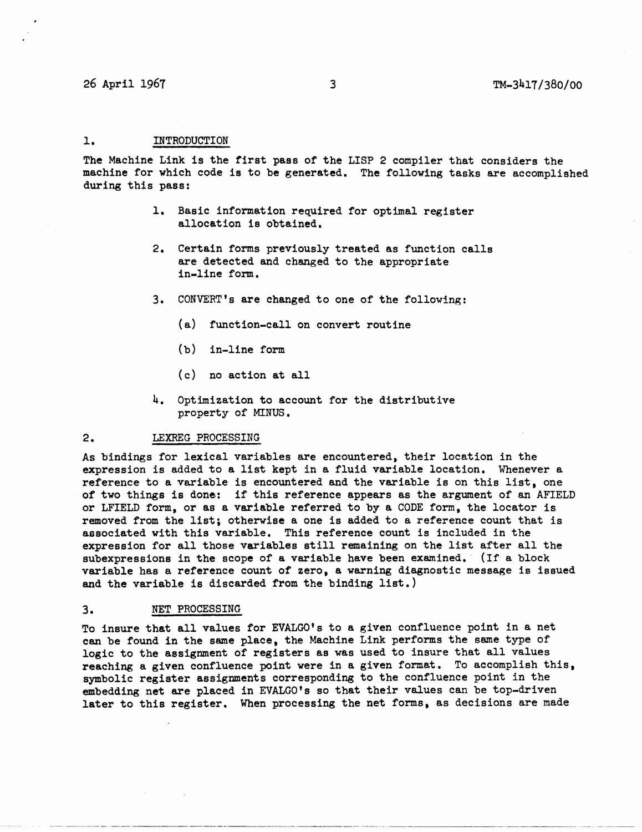## 26 April 1967 3 TM-34l7/380/00

## 1. INTRODUCTION

The Machine Link is the first pass of the LISP 2 compiler that considers the machine for which code is to be generated. The following tasks are accomplished during this pass:

- 1. Basic information required for optimal register allocation is obtained.
- 2. Certain forms previously treated as function calls are detected and changed to the appropriate in-line form.
- 3. CONVERT's are changed to one of the following:
	- (a) function-call on convert routine
	- (b) in-line form
	- (c) no action at all
- 4. Optimization to account for the distributive property of MINUS.

#### 2. LEXREG PROCESSING

As bindings for lexical variables are encountered, their location in the expression is added to a list kept in a fluid variable location. Whenever a reference to a variable is encountered and the variable is on this list, one of two things is done: if this reference appears as the argument of an AFIELD or LFIELD form, or as a variable referred to by a CODE form. the locator is removed from the list; otherwise a one is added to a reference count that is associated with this variable. This reference count is included in the expression for all those variables still remaining on the list after all the subexpressions in the scope of a variable have been examined. (If a block variable has a reference count of zero, a warning diagnostic message is issued and the variable is discarded from the binding list.)

### 3. NET PROCESSING

To insure that all values for EVALGO's to a given confluence point in a net can be found in the same place, the Machine Link performs the same type of logic to the assignment of registers as was used to insure that all values reaching a given confluence point were in a given format. To accomplish this. symbolic register assignments corresponding to the confluence point in the embedding net are placed in EVALGO's so that their values can be top-driven later to this register. When processing the net forms, as decisions are made